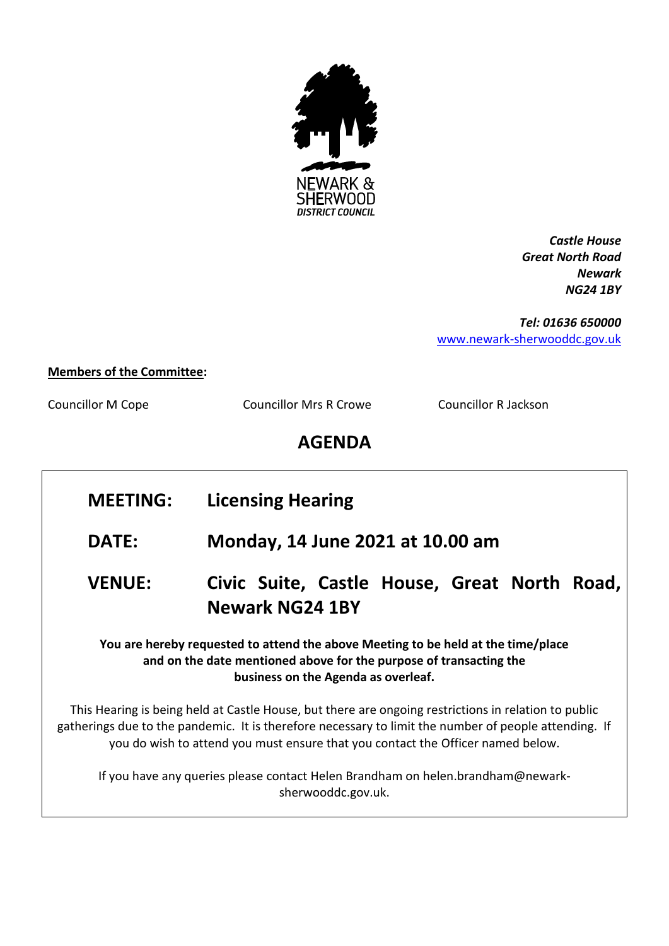

*Castle House Great North Road Newark NG24 1BY*

*Tel: 01636 650000* [www.newark-sherwooddc.gov.uk](http://www.newark-sherwooddc.gov.uk/)

## **Members of the Committee:**

Councillor M Cope Councillor Mrs R Crowe Councillor R Jackson

## **AGENDA**

## **MEETING: Licensing Hearing DATE: Monday, 14 June 2021 at 10.00 am VENUE: Civic Suite, Castle House, Great North Road, Newark NG24 1BY You are hereby requested to attend the above Meeting to be held at the time/place and on the date mentioned above for the purpose of transacting the business on the Agenda as overleaf.** This Hearing is being held at Castle House, but there are ongoing restrictions in relation to public gatherings due to the pandemic. It is therefore necessary to limit the number of people attending. If you do wish to attend you must ensure that you contact the Officer named below.

If you have any queries please contact Helen Brandham on helen.brandham@newarksherwooddc.gov.uk.